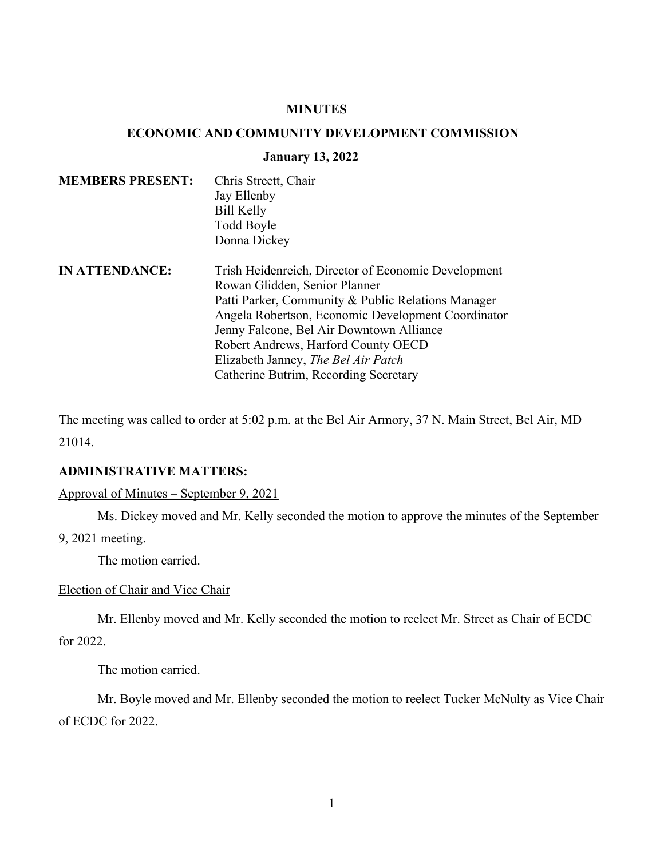## **MINUTES**

# **ECONOMIC AND COMMUNITY DEVELOPMENT COMMISSION**

#### **January 13, 2022**

| <b>MEMBERS PRESENT:</b> | Chris Streett, Chair |  |
|-------------------------|----------------------|--|
|                         | Jay Ellenby          |  |
|                         | <b>Bill Kelly</b>    |  |
|                         | Todd Boyle           |  |
|                         | Donna Dickey         |  |
|                         |                      |  |

**IN ATTENDANCE:** Trish Heidenreich, Director of Economic Development Rowan Glidden, Senior Planner Patti Parker, Community & Public Relations Manager Angela Robertson, Economic Development Coordinator Jenny Falcone, Bel Air Downtown Alliance Robert Andrews, Harford County OECD Elizabeth Janney, *The Bel Air Patch* Catherine Butrim, Recording Secretary

The meeting was called to order at 5:02 p.m. at the Bel Air Armory, 37 N. Main Street, Bel Air, MD 21014.

# **ADMINISTRATIVE MATTERS:**

Approval of Minutes – September 9, 2021

Ms. Dickey moved and Mr. Kelly seconded the motion to approve the minutes of the September

9, 2021 meeting.

The motion carried.

### Election of Chair and Vice Chair

Mr. Ellenby moved and Mr. Kelly seconded the motion to reelect Mr. Street as Chair of ECDC for 2022.

The motion carried.

Mr. Boyle moved and Mr. Ellenby seconded the motion to reelect Tucker McNulty as Vice Chair of ECDC for 2022.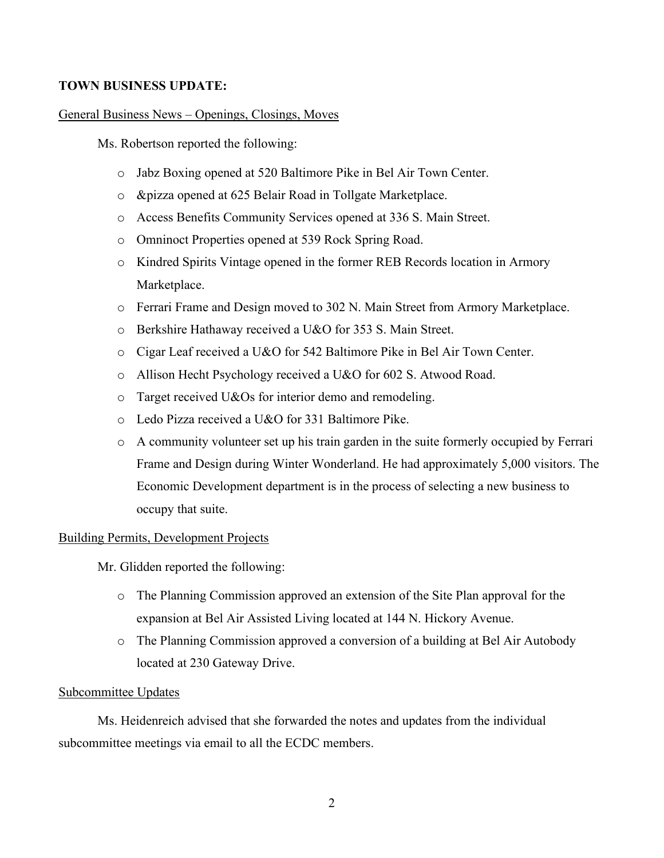# **TOWN BUSINESS UPDATE:**

### General Business News – Openings, Closings, Moves

Ms. Robertson reported the following:

- o Jabz Boxing opened at 520 Baltimore Pike in Bel Air Town Center.
- o &pizza opened at 625 Belair Road in Tollgate Marketplace.
- o Access Benefits Community Services opened at 336 S. Main Street.
- o Omninoct Properties opened at 539 Rock Spring Road.
- o Kindred Spirits Vintage opened in the former REB Records location in Armory Marketplace.
- o Ferrari Frame and Design moved to 302 N. Main Street from Armory Marketplace.
- o Berkshire Hathaway received a U&O for 353 S. Main Street.
- o Cigar Leaf received a U&O for 542 Baltimore Pike in Bel Air Town Center.
- o Allison Hecht Psychology received a U&O for 602 S. Atwood Road.
- o Target received U&Os for interior demo and remodeling.
- o Ledo Pizza received a U&O for 331 Baltimore Pike.
- o A community volunteer set up his train garden in the suite formerly occupied by Ferrari Frame and Design during Winter Wonderland. He had approximately 5,000 visitors. The Economic Development department is in the process of selecting a new business to occupy that suite.

### Building Permits, Development Projects

Mr. Glidden reported the following:

- o The Planning Commission approved an extension of the Site Plan approval for the expansion at Bel Air Assisted Living located at 144 N. Hickory Avenue.
- o The Planning Commission approved a conversion of a building at Bel Air Autobody located at 230 Gateway Drive.

#### Subcommittee Updates

Ms. Heidenreich advised that she forwarded the notes and updates from the individual subcommittee meetings via email to all the ECDC members.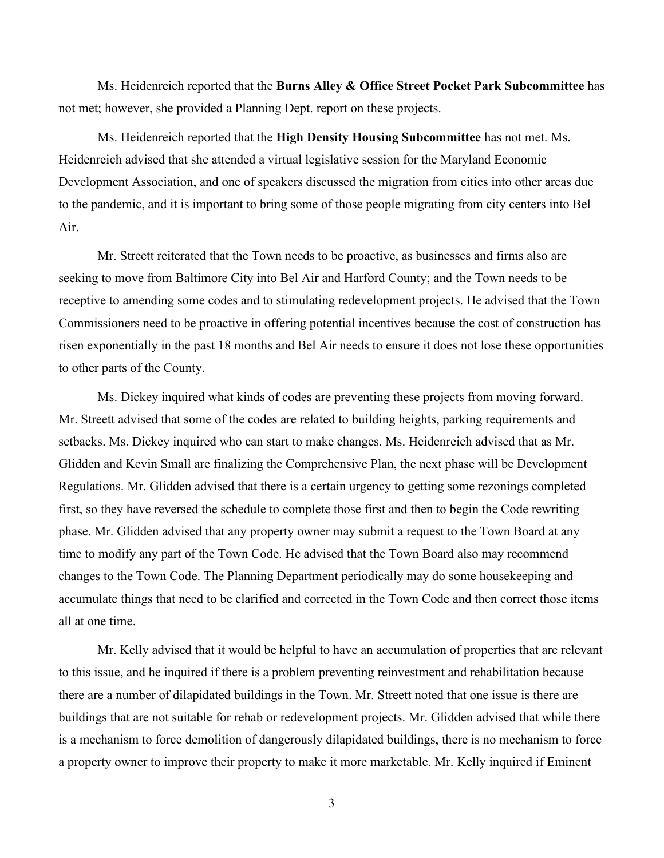Ms. Heidenreich reported that the **Burns Alley & Office Street Pocket Park Subcommittee** has not met; however, she provided a Planning Dept. report on these projects.

Ms. Heidenreich reported that the **High Density Housing Subcommittee** has not met. Ms. Heidenreich advised that she attended a virtual legislative session for the Maryland Economic Development Association, and one of speakers discussed the migration from cities into other areas due to the pandemic, and it is important to bring some of those people migrating from city centers into Bel Air.

Mr. Streett reiterated that the Town needs to be proactive, as businesses and firms also are seeking to move from Baltimore City into Bel Air and Harford County; and the Town needs to be receptive to amending some codes and to stimulating redevelopment projects. He advised that the Town Commissioners need to be proactive in offering potential incentives because the cost of construction has risen exponentially in the past 18 months and Bel Air needs to ensure it does not lose these opportunities to other parts of the County.

Ms. Dickey inquired what kinds of codes are preventing these projects from moving forward. Mr. Streett advised that some of the codes are related to building heights, parking requirements and setbacks. Ms. Dickey inquired who can start to make changes. Ms. Heidenreich advised that as Mr. Glidden and Kevin Small are finalizing the Comprehensive Plan, the next phase will be Development Regulations. Mr. Glidden advised that there is a certain urgency to getting some rezonings completed first, so they have reversed the schedule to complete those first and then to begin the Code rewriting phase. Mr. Glidden advised that any property owner may submit a request to the Town Board at any time to modify any part of the Town Code. He advised that the Town Board also may recommend changes to the Town Code. The Planning Department periodically may do some housekeeping and accumulate things that need to be clarified and corrected in the Town Code and then correct those items all at one time.

Mr. Kelly advised that it would be helpful to have an accumulation of properties that are relevant to this issue, and he inquired if there is a problem preventing reinvestment and rehabilitation because there are a number of dilapidated buildings in the Town. Mr. Streett noted that one issue is there are buildings that are not suitable for rehab or redevelopment projects. Mr. Glidden advised that while there is a mechanism to force demolition of dangerously dilapidated buildings, there is no mechanism to force a property owner to improve their property to make it more marketable. Mr. Kelly inquired if Eminent

3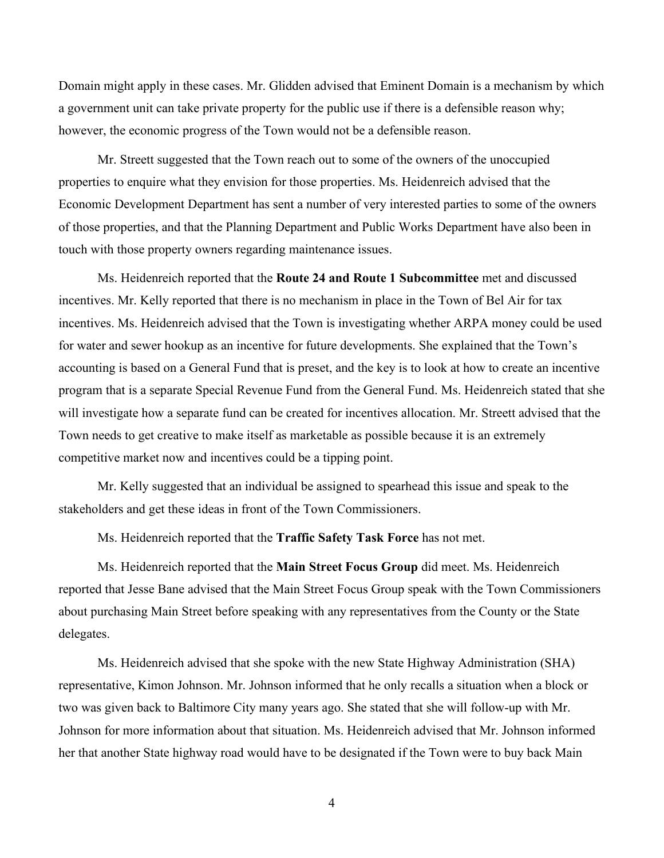Domain might apply in these cases. Mr. Glidden advised that Eminent Domain is a mechanism by which a government unit can take private property for the public use if there is a defensible reason why; however, the economic progress of the Town would not be a defensible reason.

Mr. Streett suggested that the Town reach out to some of the owners of the unoccupied properties to enquire what they envision for those properties. Ms. Heidenreich advised that the Economic Development Department has sent a number of very interested parties to some of the owners of those properties, and that the Planning Department and Public Works Department have also been in touch with those property owners regarding maintenance issues.

Ms. Heidenreich reported that the **Route 24 and Route 1 Subcommittee** met and discussed incentives. Mr. Kelly reported that there is no mechanism in place in the Town of Bel Air for tax incentives. Ms. Heidenreich advised that the Town is investigating whether ARPA money could be used for water and sewer hookup as an incentive for future developments. She explained that the Town's accounting is based on a General Fund that is preset, and the key is to look at how to create an incentive program that is a separate Special Revenue Fund from the General Fund. Ms. Heidenreich stated that she will investigate how a separate fund can be created for incentives allocation. Mr. Streett advised that the Town needs to get creative to make itself as marketable as possible because it is an extremely competitive market now and incentives could be a tipping point.

Mr. Kelly suggested that an individual be assigned to spearhead this issue and speak to the stakeholders and get these ideas in front of the Town Commissioners.

Ms. Heidenreich reported that the **Traffic Safety Task Force** has not met.

Ms. Heidenreich reported that the **Main Street Focus Group** did meet. Ms. Heidenreich reported that Jesse Bane advised that the Main Street Focus Group speak with the Town Commissioners about purchasing Main Street before speaking with any representatives from the County or the State delegates.

Ms. Heidenreich advised that she spoke with the new State Highway Administration (SHA) representative, Kimon Johnson. Mr. Johnson informed that he only recalls a situation when a block or two was given back to Baltimore City many years ago. She stated that she will follow-up with Mr. Johnson for more information about that situation. Ms. Heidenreich advised that Mr. Johnson informed her that another State highway road would have to be designated if the Town were to buy back Main

4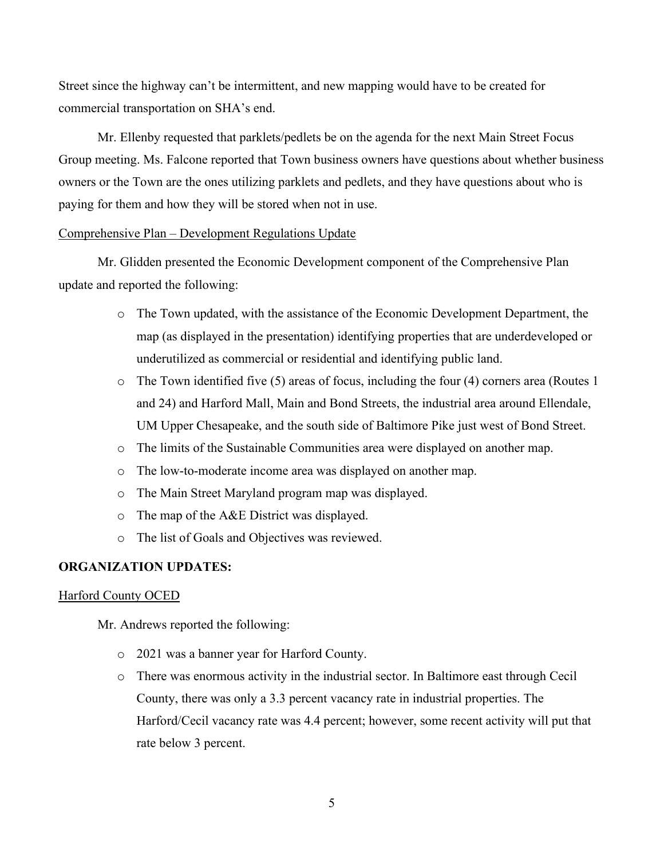Street since the highway can't be intermittent, and new mapping would have to be created for commercial transportation on SHA's end.

Mr. Ellenby requested that parklets/pedlets be on the agenda for the next Main Street Focus Group meeting. Ms. Falcone reported that Town business owners have questions about whether business owners or the Town are the ones utilizing parklets and pedlets, and they have questions about who is paying for them and how they will be stored when not in use.

## Comprehensive Plan – Development Regulations Update

Mr. Glidden presented the Economic Development component of the Comprehensive Plan update and reported the following:

- o The Town updated, with the assistance of the Economic Development Department, the map (as displayed in the presentation) identifying properties that are underdeveloped or underutilized as commercial or residential and identifying public land.
- o The Town identified five (5) areas of focus, including the four (4) corners area (Routes 1 and 24) and Harford Mall, Main and Bond Streets, the industrial area around Ellendale, UM Upper Chesapeake, and the south side of Baltimore Pike just west of Bond Street.
- o The limits of the Sustainable Communities area were displayed on another map.
- o The low-to-moderate income area was displayed on another map.
- o The Main Street Maryland program map was displayed.
- o The map of the A&E District was displayed.
- o The list of Goals and Objectives was reviewed.

## **ORGANIZATION UPDATES:**

### Harford County OCED

Mr. Andrews reported the following:

- o 2021 was a banner year for Harford County.
- o There was enormous activity in the industrial sector. In Baltimore east through Cecil County, there was only a 3.3 percent vacancy rate in industrial properties. The Harford/Cecil vacancy rate was 4.4 percent; however, some recent activity will put that rate below 3 percent.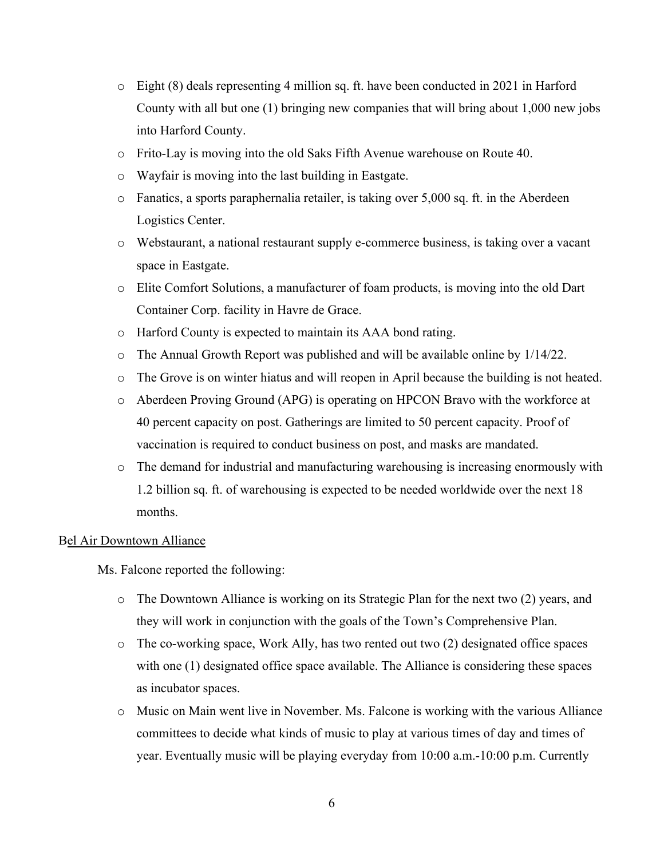- $\circ$  Eight (8) deals representing 4 million sq. ft. have been conducted in 2021 in Harford County with all but one (1) bringing new companies that will bring about 1,000 new jobs into Harford County.
- o Frito-Lay is moving into the old Saks Fifth Avenue warehouse on Route 40.
- o Wayfair is moving into the last building in Eastgate.
- o Fanatics, a sports paraphernalia retailer, is taking over 5,000 sq. ft. in the Aberdeen Logistics Center.
- o Webstaurant, a national restaurant supply e-commerce business, is taking over a vacant space in Eastgate.
- o Elite Comfort Solutions, a manufacturer of foam products, is moving into the old Dart Container Corp. facility in Havre de Grace.
- o Harford County is expected to maintain its AAA bond rating.
- o The Annual Growth Report was published and will be available online by 1/14/22.
- o The Grove is on winter hiatus and will reopen in April because the building is not heated.
- o Aberdeen Proving Ground (APG) is operating on HPCON Bravo with the workforce at 40 percent capacity on post. Gatherings are limited to 50 percent capacity. Proof of vaccination is required to conduct business on post, and masks are mandated.
- o The demand for industrial and manufacturing warehousing is increasing enormously with 1.2 billion sq. ft. of warehousing is expected to be needed worldwide over the next 18 months.

#### Bel Air Downtown Alliance

Ms. Falcone reported the following:

- o The Downtown Alliance is working on its Strategic Plan for the next two (2) years, and they will work in conjunction with the goals of the Town's Comprehensive Plan.
- o The co-working space, Work Ally, has two rented out two (2) designated office spaces with one (1) designated office space available. The Alliance is considering these spaces as incubator spaces.
- o Music on Main went live in November. Ms. Falcone is working with the various Alliance committees to decide what kinds of music to play at various times of day and times of year. Eventually music will be playing everyday from 10:00 a.m.-10:00 p.m. Currently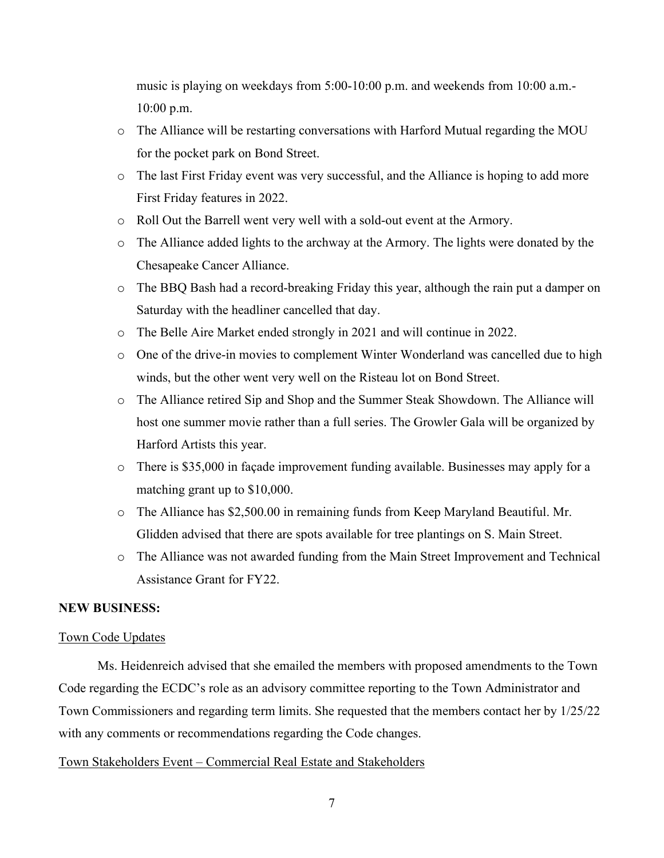music is playing on weekdays from 5:00-10:00 p.m. and weekends from 10:00 a.m.- 10:00 p.m.

- o The Alliance will be restarting conversations with Harford Mutual regarding the MOU for the pocket park on Bond Street.
- o The last First Friday event was very successful, and the Alliance is hoping to add more First Friday features in 2022.
- o Roll Out the Barrell went very well with a sold-out event at the Armory.
- o The Alliance added lights to the archway at the Armory. The lights were donated by the Chesapeake Cancer Alliance.
- o The BBQ Bash had a record-breaking Friday this year, although the rain put a damper on Saturday with the headliner cancelled that day.
- o The Belle Aire Market ended strongly in 2021 and will continue in 2022.
- o One of the drive-in movies to complement Winter Wonderland was cancelled due to high winds, but the other went very well on the Risteau lot on Bond Street.
- o The Alliance retired Sip and Shop and the Summer Steak Showdown. The Alliance will host one summer movie rather than a full series. The Growler Gala will be organized by Harford Artists this year.
- o There is \$35,000 in façade improvement funding available. Businesses may apply for a matching grant up to \$10,000.
- o The Alliance has \$2,500.00 in remaining funds from Keep Maryland Beautiful. Mr. Glidden advised that there are spots available for tree plantings on S. Main Street.
- o The Alliance was not awarded funding from the Main Street Improvement and Technical Assistance Grant for FY22.

## **NEW BUSINESS:**

#### Town Code Updates

Ms. Heidenreich advised that she emailed the members with proposed amendments to the Town Code regarding the ECDC's role as an advisory committee reporting to the Town Administrator and Town Commissioners and regarding term limits. She requested that the members contact her by 1/25/22 with any comments or recommendations regarding the Code changes.

#### Town Stakeholders Event – Commercial Real Estate and Stakeholders